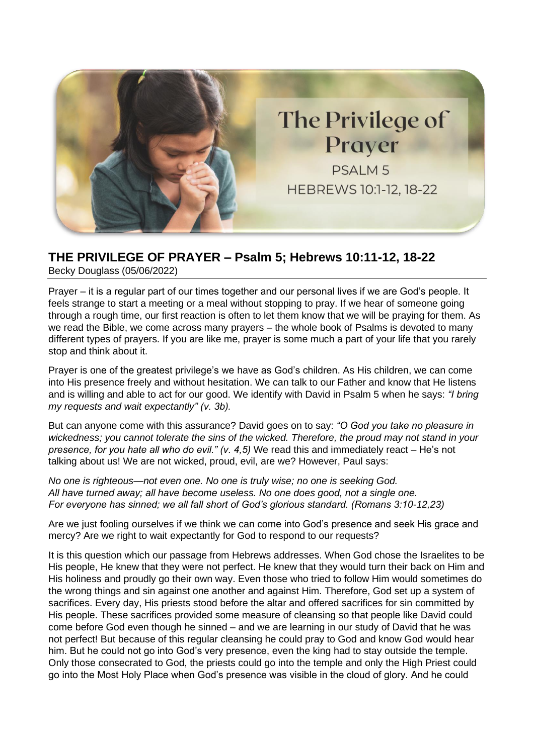

## **THE PRIVILEGE OF PRAYER – Psalm 5; Hebrews 10:11-12, 18-22**

Becky Douglass (05/06/2022)

Prayer – it is a regular part of our times together and our personal lives if we are God's people. It feels strange to start a meeting or a meal without stopping to pray. If we hear of someone going through a rough time, our first reaction is often to let them know that we will be praying for them. As we read the Bible, we come across many prayers – the whole book of Psalms is devoted to many different types of prayers. If you are like me, prayer is some much a part of your life that you rarely stop and think about it.

Prayer is one of the greatest privilege's we have as God's children. As His children, we can come into His presence freely and without hesitation. We can talk to our Father and know that He listens and is willing and able to act for our good. We identify with David in Psalm 5 when he says: *"I bring my requests and wait expectantly" (v. 3b).* 

But can anyone come with this assurance? David goes on to say: *"O God you take no pleasure in wickedness; you cannot tolerate the sins of the wicked. Therefore, the proud may not stand in your presence, for you hate all who do evil." (v. 4,5)* We read this and immediately react – He's not talking about us! We are not wicked, proud, evil, are we? However, Paul says:

*No one is righteous—not even one. No one is truly wise; no one is seeking God. All have turned away; all have become useless. No one does good, not a single one. For everyone has sinned; we all fall short of God's glorious standard. (Romans 3:10-12,23)*

Are we just fooling ourselves if we think we can come into God's presence and seek His grace and mercy? Are we right to wait expectantly for God to respond to our requests?

It is this question which our passage from Hebrews addresses. When God chose the Israelites to be His people, He knew that they were not perfect. He knew that they would turn their back on Him and His holiness and proudly go their own way. Even those who tried to follow Him would sometimes do the wrong things and sin against one another and against Him. Therefore, God set up a system of sacrifices. Every day, His priests stood before the altar and offered sacrifices for sin committed by His people. These sacrifices provided some measure of cleansing so that people like David could come before God even though he sinned – and we are learning in our study of David that he was not perfect! But because of this regular cleansing he could pray to God and know God would hear him. But he could not go into God's very presence, even the king had to stay outside the temple. Only those consecrated to God, the priests could go into the temple and only the High Priest could go into the Most Holy Place when God's presence was visible in the cloud of glory. And he could